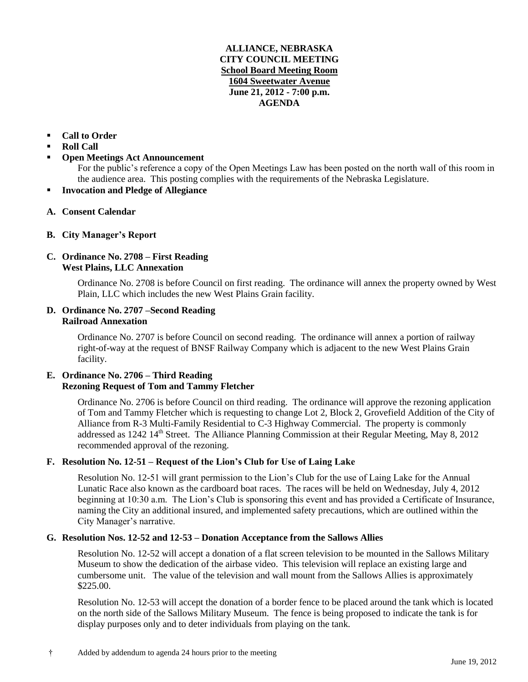### **ALLIANCE, NEBRASKA CITY COUNCIL MEETING School Board Meeting Room 1604 Sweetwater Avenue June 21, 2012 - 7:00 p.m. AGENDA**

## **Call to Order**

- **Roll Call**
- **Open Meetings Act Announcement**

For the public's reference a copy of the Open Meetings Law has been posted on the north wall of this room in the audience area. This posting complies with the requirements of the Nebraska Legislature.

- **Invocation and Pledge of Allegiance**
- **A. Consent Calendar**
- **B. City Manager's Report**

# **C. Ordinance No. 2708 – First Reading West Plains, LLC Annexation**

Ordinance No. 2708 is before Council on first reading. The ordinance will annex the property owned by West Plain, LLC which includes the new West Plains Grain facility.

#### **D. Ordinance No. 2707 –Second Reading Railroad Annexation**

Ordinance No. 2707 is before Council on second reading. The ordinance will annex a portion of railway right-of-way at the request of BNSF Railway Company which is adjacent to the new West Plains Grain facility.

# **E. Ordinance No. 2706 – Third Reading Rezoning Request of Tom and Tammy Fletcher**

Ordinance No. 2706 is before Council on third reading. The ordinance will approve the rezoning application of Tom and Tammy Fletcher which is requesting to change Lot 2, Block 2, Grovefield Addition of the City of Alliance from R-3 Multi-Family Residential to C-3 Highway Commercial. The property is commonly addressed as 1242 14<sup>th</sup> Street. The Alliance Planning Commission at their Regular Meeting, May 8, 2012 recommended approval of the rezoning.

# **F. Resolution No. 12-51 – Request of the Lion's Club for Use of Laing Lake**

Resolution No. 12-51 will grant permission to the Lion's Club for the use of Laing Lake for the Annual Lunatic Race also known as the cardboard boat races. The races will be held on Wednesday, July 4, 2012 beginning at 10:30 a.m. The Lion's Club is sponsoring this event and has provided a Certificate of Insurance, naming the City an additional insured, and implemented safety precautions, which are outlined within the City Manager's narrative.

### **G. Resolution Nos. 12-52 and 12-53 – Donation Acceptance from the Sallows Allies**

Resolution No. 12-52 will accept a donation of a flat screen television to be mounted in the Sallows Military Museum to show the dedication of the airbase video. This television will replace an existing large and cumbersome unit. The value of the television and wall mount from the Sallows Allies is approximately \$225.00.

Resolution No. 12-53 will accept the donation of a border fence to be placed around the tank which is located on the north side of the Sallows Military Museum. The fence is being proposed to indicate the tank is for display purposes only and to deter individuals from playing on the tank.